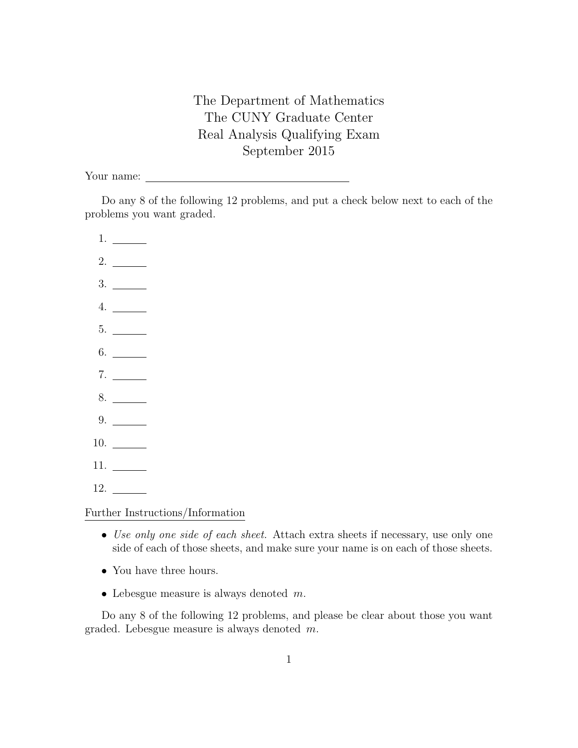The Department of Mathematics The CUNY Graduate Center Real Analysis Qualifying Exam September 2015

Your name:

Do any 8 of the following 12 problems, and put a check below next to each of the problems you want graded.

1. 2. 3. 4. 5. 6. 7. 8. 9. 10. 11. 12.

Further Instructions/Information

- Use only one side of each sheet. Attach extra sheets if necessary, use only one side of each of those sheets, and make sure your name is on each of those sheets.
- You have three hours.
- Lebesgue measure is always denoted  $m$ .

Do any 8 of the following 12 problems, and please be clear about those you want graded. Lebesgue measure is always denoted  $m$ .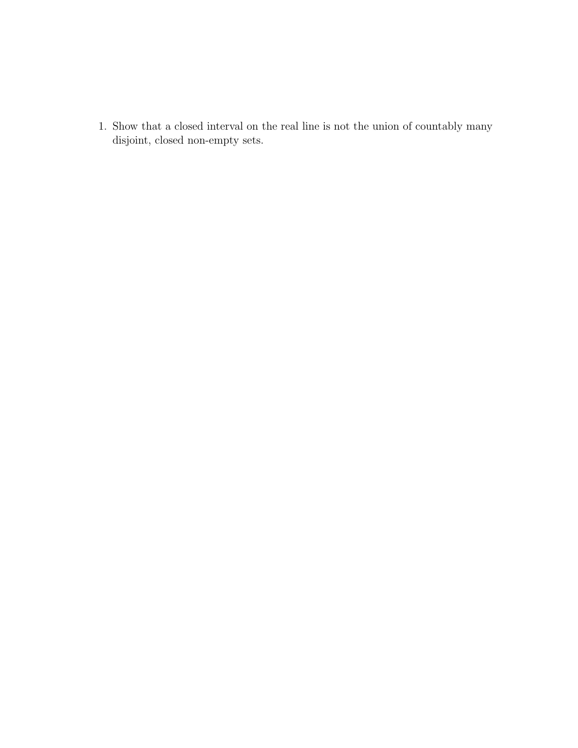1. Show that a closed interval on the real line is not the union of countably many disjoint, closed non-empty sets.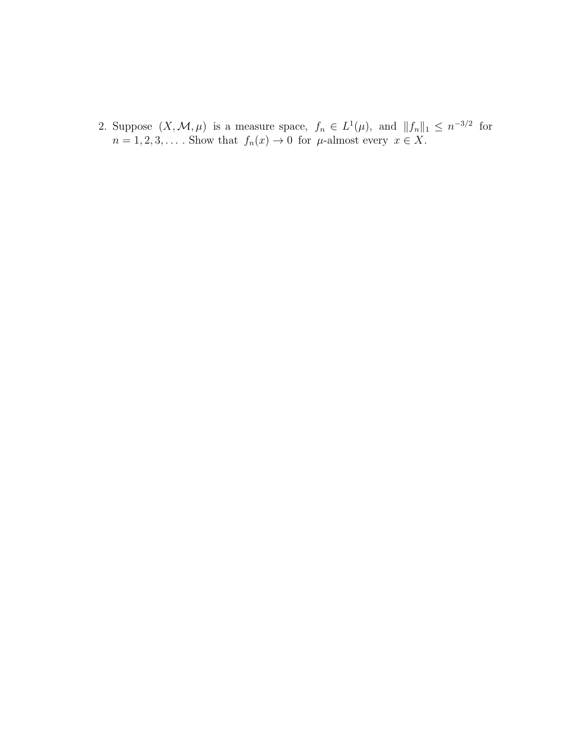2. Suppose  $(X, \mathcal{M}, \mu)$  is a measure space,  $f_n \in L^1(\mu)$ , and  $||f_n||_1 \leq n^{-3/2}$  for  $n = 1, 2, 3, \dots$ . Show that  $f_n(x) \to 0$  for  $\mu$ -almost every  $x \in X$ .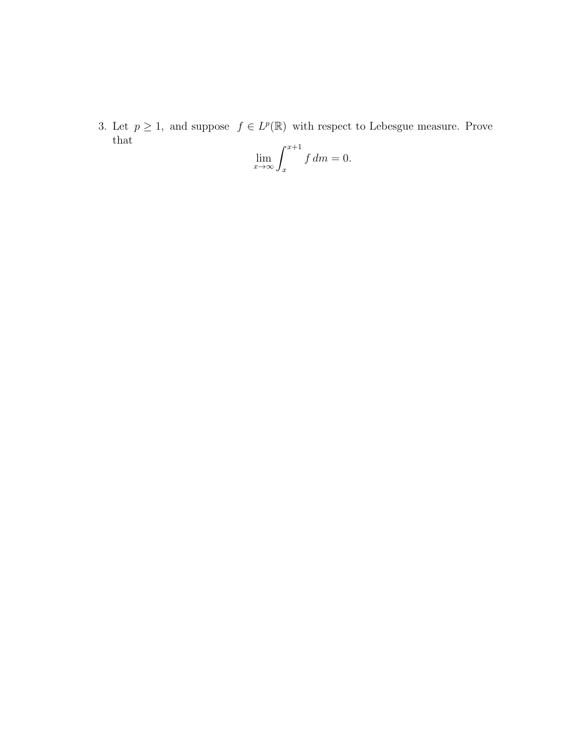3. Let  $p \geq 1$ , and suppose  $f \in L^p(\mathbb{R})$  with respect to Lebesgue measure. Prove that

$$
\lim_{x \to \infty} \int_{x}^{x+1} f \, dm = 0.
$$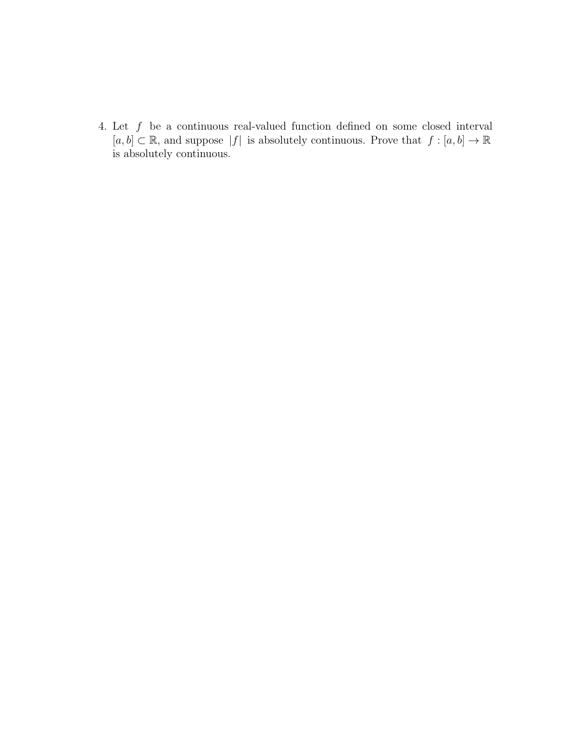4. Let  $f$  be a continuous real-valued function defined on some closed interval  $[a, b] \subset \mathbb{R}$ , and suppose  $|f|$  is absolutely continuous. Prove that  $f : [a, b] \to \mathbb{R}$ is absolutely continuous.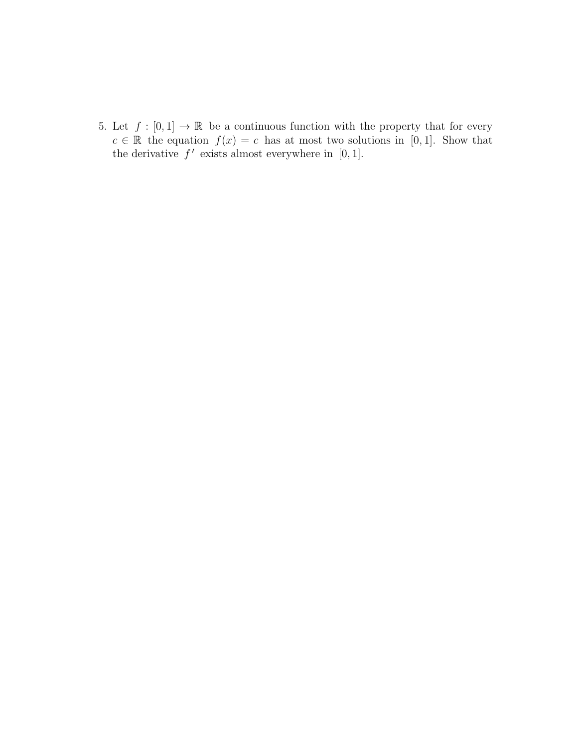5. Let  $f : [0,1] \to \mathbb{R}$  be a continuous function with the property that for every  $c \in \mathbb{R}$  the equation  $f(x) = c$  has at most two solutions in [0, 1]. Show that the derivative  $f'$  exists almost everywhere in [0, 1].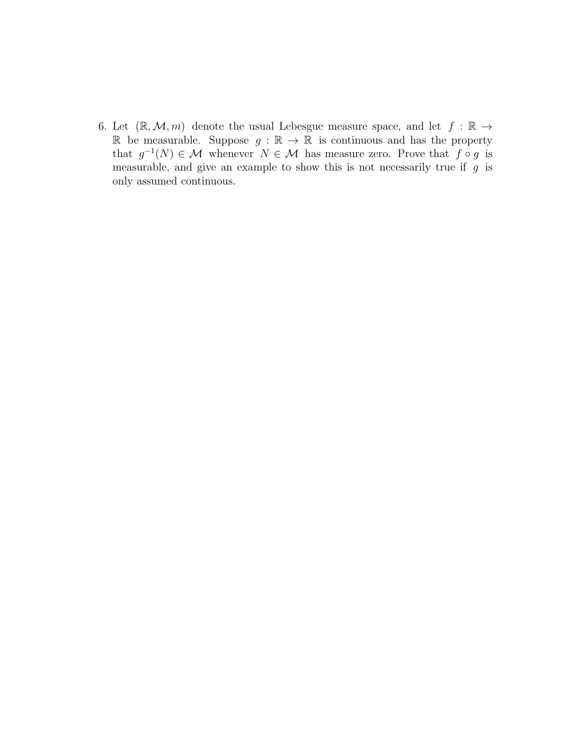6. Let  $(\mathbb{R}, \mathcal{M}, m)$  denote the usual Lebesgue measure space, and let  $f : \mathbb{R} \to$ R be measurable. Suppose  $g : \mathbb{R} \to \mathbb{R}$  is continuous and has the property that  $g^{-1}(N) \in \mathcal{M}$  whenever  $N \in \mathcal{M}$  has measure zero. Prove that  $f \circ g$  is measurable, and give an example to show this is not necessarily true if  $g$  is only assumed continuous.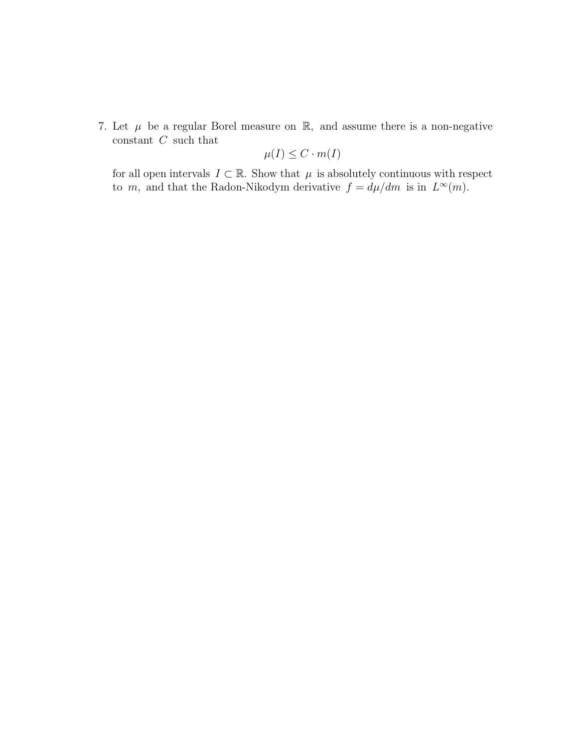7. Let  $\mu$  be a regular Borel measure on  $\mathbb{R}$ , and assume there is a non-negative constant  $C$  such that

$$
\mu(I) \leq C \cdot m(I)
$$

for all open intervals  $\,I\subset\mathbb{R}.$  Show that  $\,\mu\,$  is absolutely continuous with respect to m, and that the Radon-Nikodym derivative  $f = d\mu/dm$  is in  $L^{\infty}(m)$ .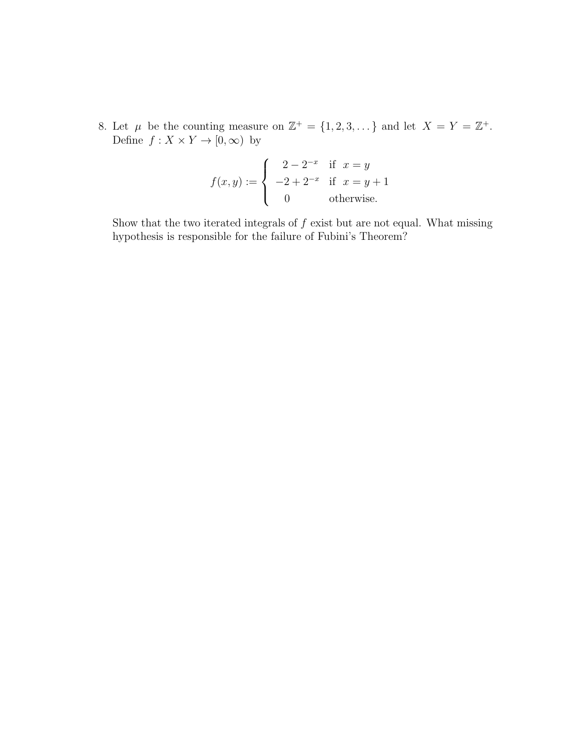8. Let  $\mu$  be the counting measure on  $\mathbb{Z}^+ = \{1, 2, 3, \dots\}$  and let  $X = Y = \mathbb{Z}^+$ . Define  $f: X \times Y \to [0, \infty)$  by

$$
f(x,y) := \begin{cases} 2 - 2^{-x} & \text{if } x = y \\ -2 + 2^{-x} & \text{if } x = y + 1 \\ 0 & \text{otherwise.} \end{cases}
$$

Show that the two iterated integrals of  $f$  exist but are not equal. What missing hypothesis is responsible for the failure of Fubini's Theorem?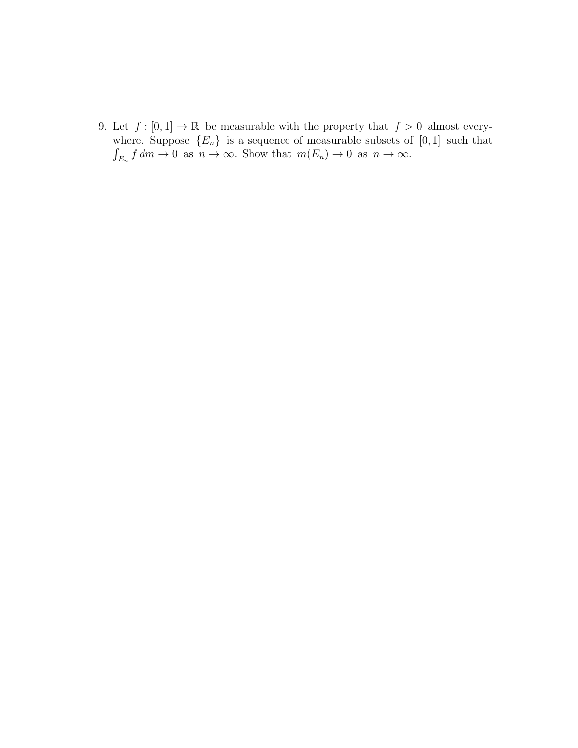9. Let  $f : [0,1] \to \mathbb{R}$  be measurable with the property that  $f > 0$  almost everywhere. Suppose  ${E_n}$  is a sequence of measurable subsets of  $[0, 1]$  such that  $\int_{E_n} f dm \to 0$  as  $n \to \infty$ . Show that  $m(E_n) \to 0$  as  $n \to \infty$ .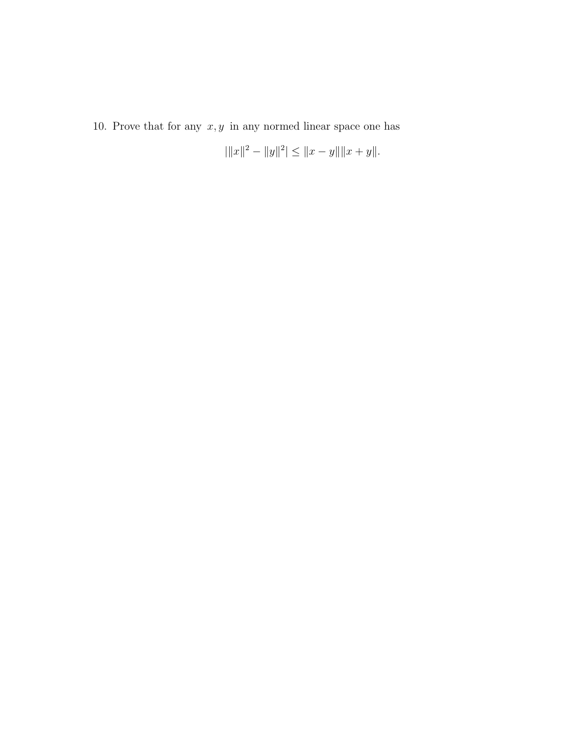10. Prove that for any  $x, y$  in any normed linear space one has

$$
|\|x\|^2 - \|y\|^2| \le \|x - y\| \|x + y\|.
$$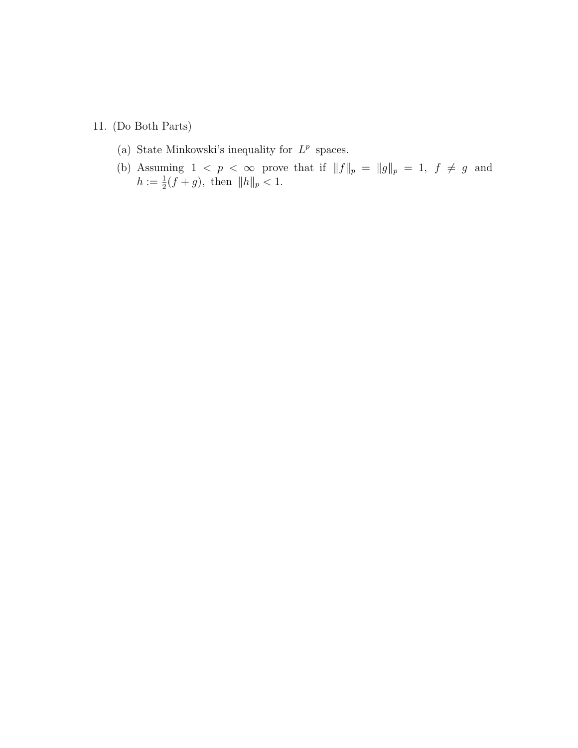- 11. (Do Both Parts)
	- (a) State Minkowski's inequality for  $L^p$  spaces.
	- (b) Assuming  $1 < p < \infty$  prove that if  $||f||_p = ||g||_p = 1, f \neq g$  and  $h := \frac{1}{2}(f+g)$ , then  $||h||_p < 1$ .